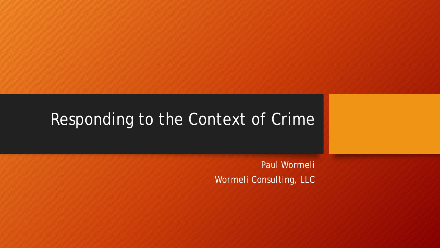### Responding to the Context of Crime

Paul Wormeli Wormeli Consulting, LLC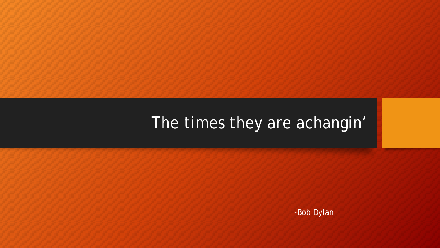# The times they are achangin'

-Bob Dylan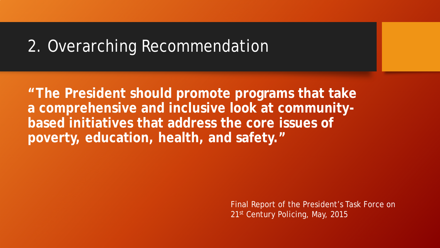### 2. Overarching Recommendation

**"The President should promote programs that take a comprehensive and inclusive look at communitybased initiatives that address the core issues of poverty, education, health, and safety."** 

> Final Report of the President's Task Force on 21st Century Policing, May, 2015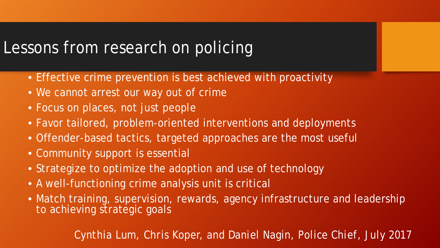# Lessons from research on policing

- Effective crime prevention is best achieved with proactivity
- We cannot arrest our way out of crime
- Focus on places, not just people
- Favor tailored, problem-oriented interventions and deployments
- Offender-based tactics, targeted approaches are the most useful
- Community support is essential
- Strategize to optimize the adoption and use of technology
- A well-functioning crime analysis unit is critical
- Match training, supervision, rewards, agency infrastructure and leadership to achieving strategic goals

*Cynthia Lum, Chris Koper, and Daniel Nagin, Police Chief, July 2017*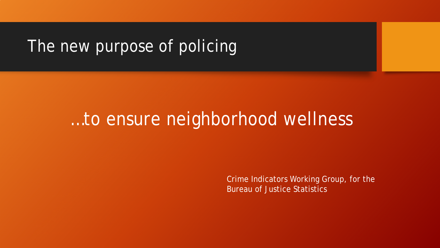# The new purpose of policing

# …to ensure neighborhood wellness

Crime Indicators Working Group, for the Bureau of Justice Statistics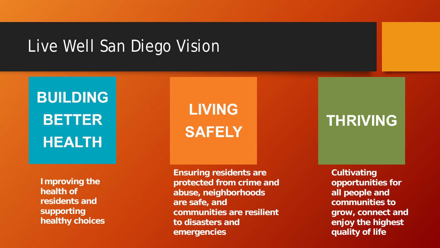### Live Well San Diego Vision

# **BUILDING BETTER HEALTH**

**Improving the health of residents and supporting healthy choices** **Ensuring residents are protected from crime and abuse, neighborhoods are safe, and communities are resilient to disasters and emergencies**

**LIVING** 

**SAFELY** 

### **THRIVING**

**Cultivating opportunities for all people and communities to grow, connect and enjoy the highest quality of life**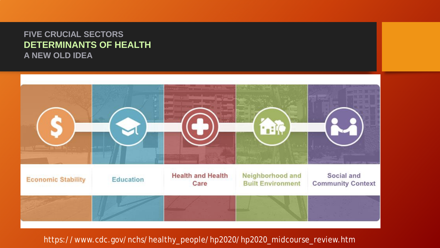#### **FIVE CRUCIAL SECTORS DETERMINANTS OF HEALTH A NEW OLD IDEA**



#### https://www.cdc.gov/nchs/healthy\_people/hp2020/hp2020\_midcourse\_review.htm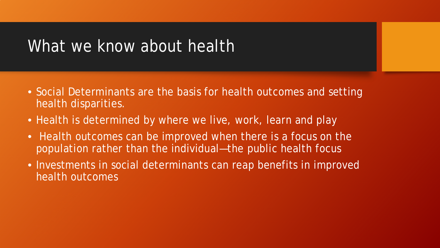### What we know about health

- Social Determinants are the basis for health outcomes and setting health disparities.
- Health is determined by where we live, work, learn and play
- Health outcomes can be improved when there is a focus on the population rather than the individual—the public health focus
- Investments in social determinants can reap benefits in improved health outcomes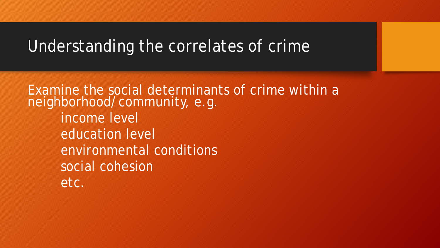### Understanding the correlates of crime

Examine the social determinants of crime within a neighborhood/community, e.g. income level education level environmental conditions social cohesion etc.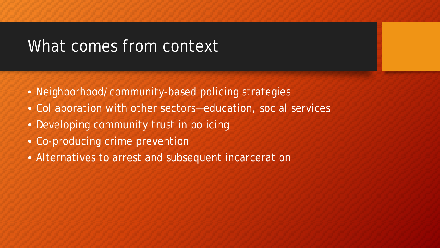### What comes from context

- Neighborhood/community-based policing strategies
- Collaboration with other sectors—education, social services
- Developing community trust in policing
- Co-producing crime prevention
- Alternatives to arrest and subsequent incarceration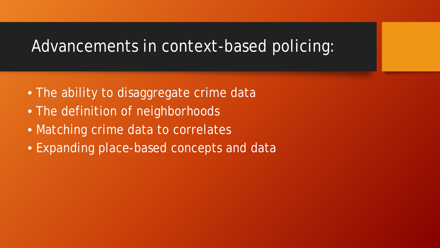### Advancements in context-based policing:

- The ability to disaggregate crime data
- The definition of neighborhoods
- Matching crime data to correlates
- Expanding place-based concepts and data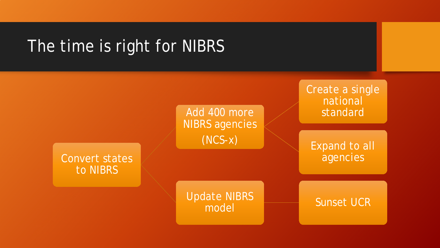### The time is right for NIBRS

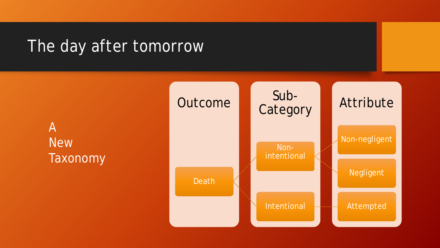# The day after tomorrow

A **New** Taxonomy

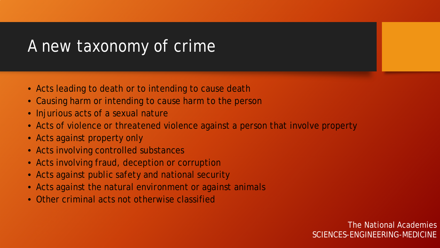# A new taxonomy of crime

- Acts leading to death or to intending to cause death
- Causing harm or intending to cause harm to the person
- Injurious acts of a sexual nature
- Acts of violence or threatened violence against a person that involve property
- Acts against property only
- Acts involving controlled substances
- Acts involving fraud, deception or corruption
- Acts against public safety and national security
- Acts against the natural environment or against animals
- Other criminal acts not otherwise classified

The National Academies SCIENCES-ENGINEERING-MEDICINE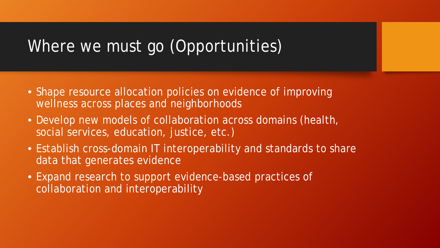# Where we must go (Opportunities)

- Shape resource allocation policies on evidence of improving wellness across places and neighborhoods
- Develop new models of collaboration across domains (health, social services, education, justice, etc.)
- Establish cross-domain IT interoperability and standards to share data that generates evidence
- Expand research to support evidence-based practices of collaboration and interoperability